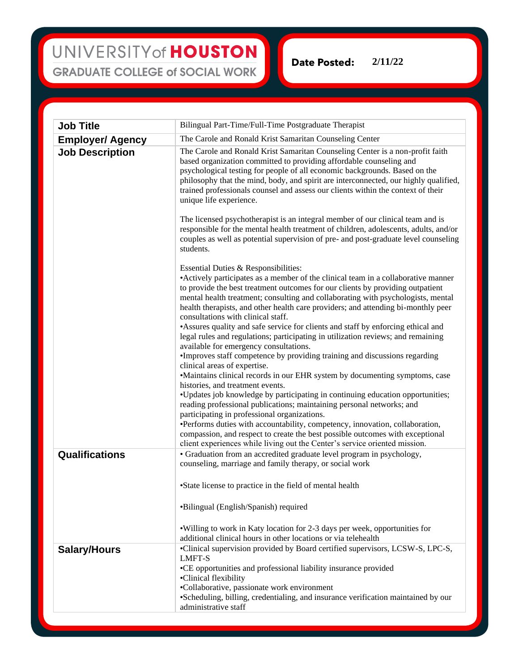## UNIVERSITY of HOUSTON **GRADUATE COLLEGE of SOCIAL WORK**

**Date Posted: 2/11/22**

| <b>Job Title</b>        | Bilingual Part-Time/Full-Time Postgraduate Therapist                                                                                                                                                                                                                                                                                                                                                                                      |
|-------------------------|-------------------------------------------------------------------------------------------------------------------------------------------------------------------------------------------------------------------------------------------------------------------------------------------------------------------------------------------------------------------------------------------------------------------------------------------|
| <b>Employer/ Agency</b> | The Carole and Ronald Krist Samaritan Counseling Center                                                                                                                                                                                                                                                                                                                                                                                   |
| <b>Job Description</b>  | The Carole and Ronald Krist Samaritan Counseling Center is a non-profit faith<br>based organization committed to providing affordable counseling and<br>psychological testing for people of all economic backgrounds. Based on the<br>philosophy that the mind, body, and spirit are interconnected, our highly qualified,<br>trained professionals counsel and assess our clients within the context of their<br>unique life experience. |
|                         | The licensed psychotherapist is an integral member of our clinical team and is<br>responsible for the mental health treatment of children, adolescents, adults, and/or<br>couples as well as potential supervision of pre- and post-graduate level counseling<br>students.                                                                                                                                                                |
|                         | Essential Duties & Responsibilities:                                                                                                                                                                                                                                                                                                                                                                                                      |
|                         | • Actively participates as a member of the clinical team in a collaborative manner<br>to provide the best treatment outcomes for our clients by providing outpatient<br>mental health treatment; consulting and collaborating with psychologists, mental<br>health therapists, and other health care providers; and attending bi-monthly peer<br>consultations with clinical staff.                                                       |
|                         | • Assures quality and safe service for clients and staff by enforcing ethical and<br>legal rules and regulations; participating in utilization reviews; and remaining<br>available for emergency consultations.                                                                                                                                                                                                                           |
|                         | •Improves staff competence by providing training and discussions regarding<br>clinical areas of expertise.<br>•Maintains clinical records in our EHR system by documenting symptoms, case                                                                                                                                                                                                                                                 |
|                         | histories, and treatment events.<br>•Updates job knowledge by participating in continuing education opportunities;<br>reading professional publications; maintaining personal networks; and<br>participating in professional organizations.                                                                                                                                                                                               |
|                         | •Performs duties with accountability, competency, innovation, collaboration,<br>compassion, and respect to create the best possible outcomes with exceptional<br>client experiences while living out the Center's service oriented mission.                                                                                                                                                                                               |
| Qualifications          | • Graduation from an accredited graduate level program in psychology,<br>counseling, marriage and family therapy, or social work                                                                                                                                                                                                                                                                                                          |
|                         | •State license to practice in the field of mental health                                                                                                                                                                                                                                                                                                                                                                                  |
|                         | •Bilingual (English/Spanish) required                                                                                                                                                                                                                                                                                                                                                                                                     |
|                         | . Willing to work in Katy location for 2-3 days per week, opportunities for<br>additional clinical hours in other locations or via telehealth                                                                                                                                                                                                                                                                                             |
| <b>Salary/Hours</b>     | •Clinical supervision provided by Board certified supervisors, LCSW-S, LPC-S,<br><b>LMFT-S</b><br>•CE opportunities and professional liability insurance provided<br>•Clinical flexibility                                                                                                                                                                                                                                                |
|                         | •Collaborative, passionate work environment<br>•Scheduling, billing, credentialing, and insurance verification maintained by our<br>administrative staff                                                                                                                                                                                                                                                                                  |